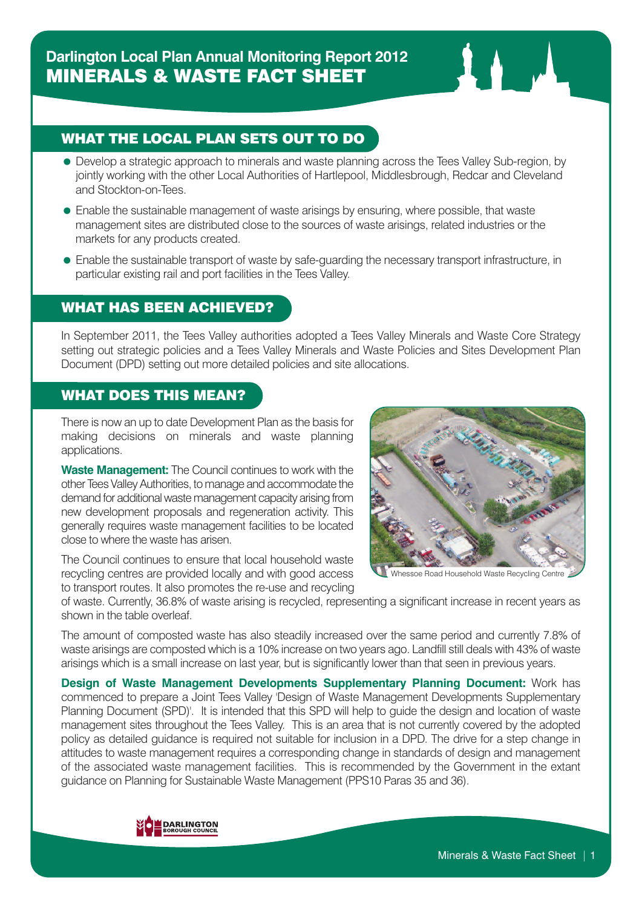# WHAT THE LOCAL PLAN SETS OUT TO DO

- Develop a strategic approach to minerals and waste planning across the Tees Valley Sub-region, by jointly working with the other Local Authorities of Hartlepool, Middlesbrough, Redcar and Cleveland and Stockton-on-Tees.
- Enable the sustainable management of waste arisings by ensuring, where possible, that waste management sites are distributed close to the sources of waste arisings, related industries or the markets for any products created.
- Enable the sustainable transport of waste by safe-guarding the necessary transport infrastructure, in particular existing rail and port facilities in the Tees Valley.

## WHAT HAS BEEN ACHIEVED?

In September 2011, the Tees Valley authorities adopted a Tees Valley Minerals and Waste Core Strategy setting out strategic policies and a Tees Valley Minerals and Waste Policies and Sites Development Plan Document (DPD) setting out more detailed policies and site allocations.

### WHAT DOES THIS MEAN?

There is now an up to date Development Plan as the basis for making decisions on minerals and waste planning applications.

**Waste Management:** The Council continues to work with the other Tees ValleyAuthorities, to manage and accommodate the demand for additional waste management capacity arising from new development proposals and regeneration activity. This generally requires waste management facilities to be located close to where the waste has arisen.

The Council continues to ensure that local household waste recycling centres are provided locally and with good access to transport routes. It also promotes the re-use and recycling



hessoe Road Household Waste Recycling Centre

of waste. Currently, 36.8% of waste arising is recycled, representing a significant increase in recent years as shown in the table overleaf.

The amount of composted waste has also steadily increased over the same period and currently 7.8% of waste arisings are composted which is a 10% increase on two years ago. Landfill still deals with 43% of waste arisings which is a small increase on last year, but is significantly lower than that seen in previous years.

**Design of Waste Management Developments Supplementary Planning Document:** Work has commenced to prepare a Joint Tees Valley 'Design of Waste Management Developments Supplementary Planning Document (SPD)'. It is intended that this SPD will help to guide the design and location of waste management sites throughout the Tees Valley. This is an area that is not currently covered by the adopted policy as detailed guidance is required not suitable for inclusion in a DPD. The drive for a step change in attitudes to waste management requires a corresponding change in standards of design and management of the associated waste management facilities. This is recommended by the Government in the extant guidance on Planning for Sustainable Waste Management (PPS10 Paras 35 and 36).